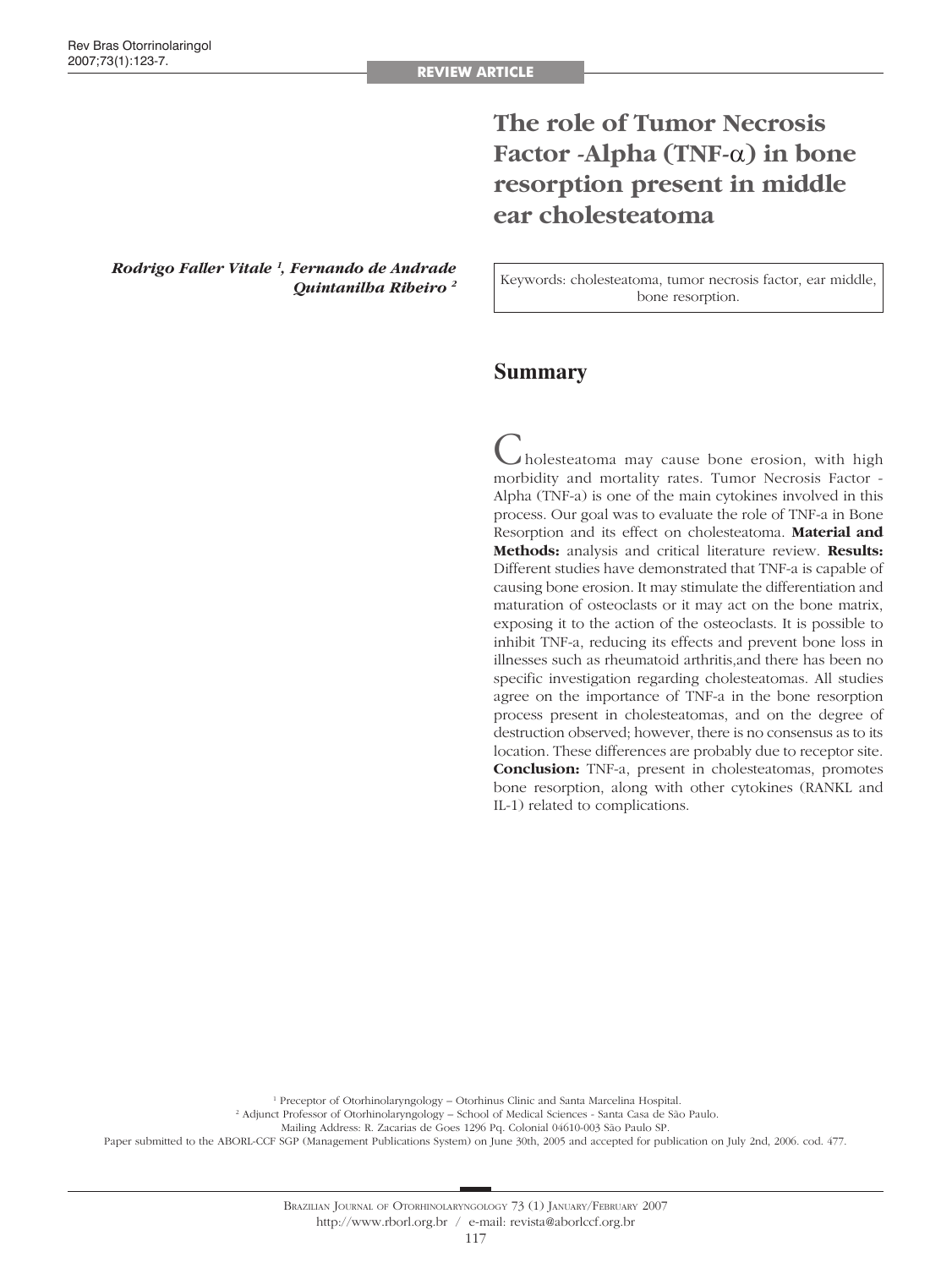# **The role of Tumor Necrosis Factor -Alpha (TNF-**α**) in bone resorption present in middle ear cholesteatoma**

*Rodrigo Faller Vitale 1 , Fernando de Andrade Quintanilha Ribeiro 2*

Keywords: cholesteatoma, tumor necrosis factor, ear middle, bone resorption.

## **Summary**

 $\blacktriangle$ holesteatoma may cause bone erosion, with high morbidity and mortality rates. Tumor Necrosis Factor - Alpha (TNF-a) is one of the main cytokines involved in this process. Our goal was to evaluate the role of TNF-a in Bone Resorption and its effect on cholesteatoma. **Material and Methods:** analysis and critical literature review. **Results:**  Different studies have demonstrated that TNF-a is capable of causing bone erosion. It may stimulate the differentiation and maturation of osteoclasts or it may act on the bone matrix, exposing it to the action of the osteoclasts. It is possible to inhibit TNF-a, reducing its effects and prevent bone loss in illnesses such as rheumatoid arthritis,and there has been no specific investigation regarding cholesteatomas. All studies agree on the importance of TNF-a in the bone resorption process present in cholesteatomas, and on the degree of destruction observed; however, there is no consensus as to its location. These differences are probably due to receptor site. **Conclusion:** TNF-a, present in cholesteatomas, promotes bone resorption, along with other cytokines (RANKL and IL-1) related to complications.

<sup>1</sup> Preceptor of Otorhinolaryngology - Otorhinus Clinic and Santa Marcelina Hospital.

2 Adjunct Professor of Otorhinolaryngology – School of Medical Sciences - Santa Casa de São Paulo.

Mailing Address: R. Zacarias de Goes 1296 Pq. Colonial 04610-003 São Paulo SP.

Paper submitted to the ABORL-CCF SGP (Management Publications System) on June 30th, 2005 and accepted for publication on July 2nd, 2006. cod. 477.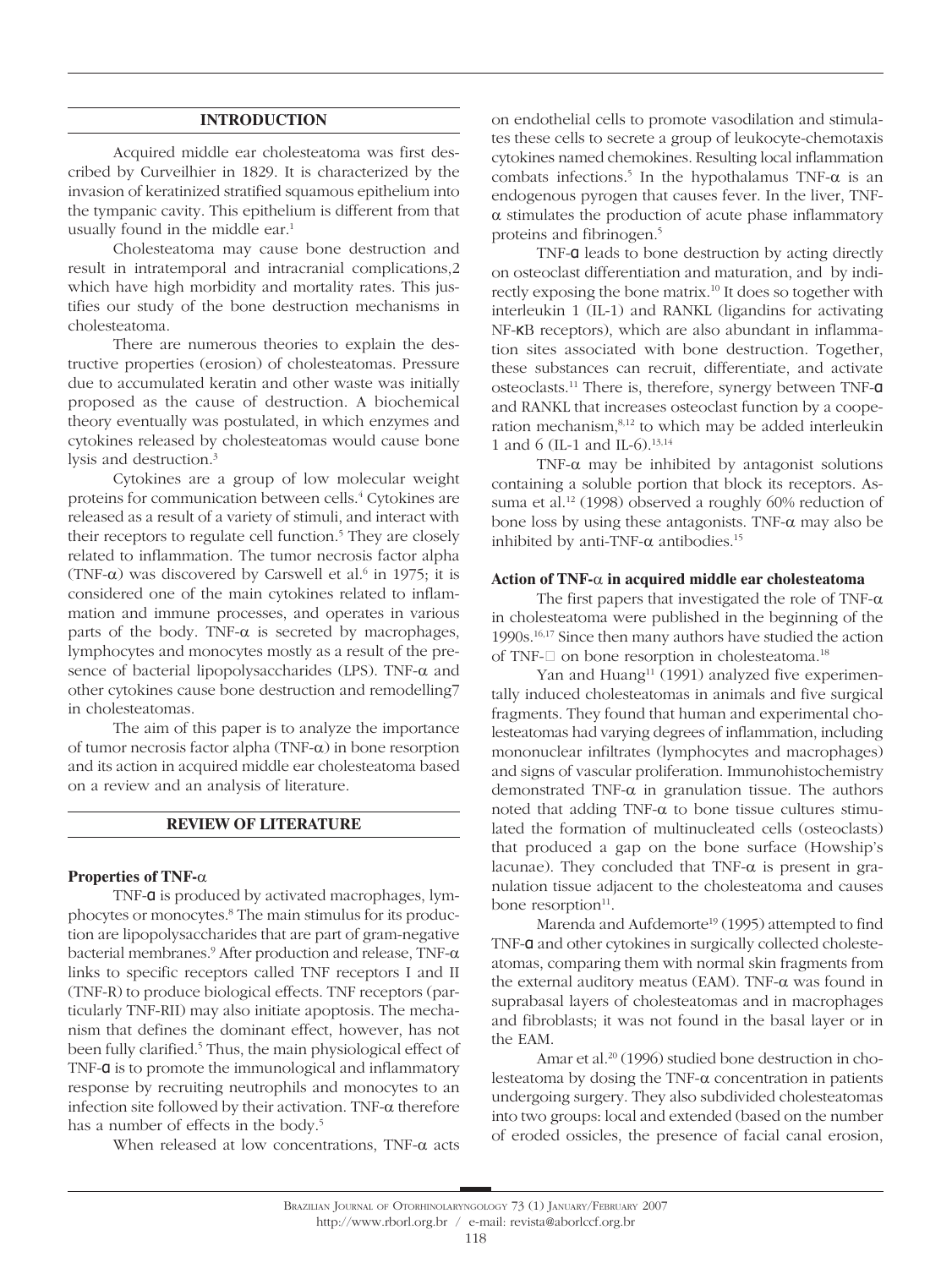### **INTRODUCTION**

Acquired middle ear cholesteatoma was first described by Curveilhier in 1829. It is characterized by the invasion of keratinized stratified squamous epithelium into the tympanic cavity. This epithelium is different from that usually found in the middle ear.<sup>1</sup>

Cholesteatoma may cause bone destruction and result in intratemporal and intracranial complications,2 which have high morbidity and mortality rates. This justifies our study of the bone destruction mechanisms in cholesteatoma.

There are numerous theories to explain the destructive properties (erosion) of cholesteatomas. Pressure due to accumulated keratin and other waste was initially proposed as the cause of destruction. A biochemical theory eventually was postulated, in which enzymes and cytokines released by cholesteatomas would cause bone lysis and destruction.3

Cytokines are a group of low molecular weight proteins for communication between cells.<sup>4</sup> Cytokines are released as a result of a variety of stimuli, and interact with their receptors to regulate cell function.<sup>5</sup> They are closely related to inflammation. The tumor necrosis factor alpha (TNF- $\alpha$ ) was discovered by Carswell et al.<sup>6</sup> in 1975; it is considered one of the main cytokines related to inflammation and immune processes, and operates in various parts of the body. TNF- $\alpha$  is secreted by macrophages, lymphocytes and monocytes mostly as a result of the presence of bacterial lipopolysaccharides (LPS). TNF-α and other cytokines cause bone destruction and remodelling7 in cholesteatomas.

The aim of this paper is to analyze the importance of tumor necrosis factor alpha (TNF-α) in bone resorption and its action in acquired middle ear cholesteatoma based on a review and an analysis of literature.

#### **REVIEW OF LITERATURE**

#### **Properties of TNF-**α

TNF-α is produced by activated macrophages, lymphocytes or monocytes.<sup>8</sup> The main stimulus for its production are lipopolysaccharides that are part of gram-negative bacterial membranes.9 After production and release, TNF-α links to specific receptors called TNF receptors I and II (TNF-R) to produce biological effects. TNF receptors (particularly TNF-RII) may also initiate apoptosis. The mechanism that defines the dominant effect, however, has not been fully clarified.<sup>5</sup> Thus, the main physiological effect of TNF-α is to promote the immunological and inflammatory response by recruiting neutrophils and monocytes to an infection site followed by their activation. TNF-α therefore has a number of effects in the body.<sup>5</sup>

When released at low concentrations, TNF-α acts

on endothelial cells to promote vasodilation and stimulates these cells to secrete a group of leukocyte-chemotaxis cytokines named chemokines. Resulting local inflammation combats infections.<sup>5</sup> In the hypothalamus TNF- $\alpha$  is an endogenous pyrogen that causes fever. In the liver, TNFα stimulates the production of acute phase inflammatory proteins and fibrinogen.5

TNF-α leads to bone destruction by acting directly on osteoclast differentiation and maturation, and by indirectly exposing the bone matrix.<sup>10</sup> It does so together with interleukin 1 (IL-1) and RANKL (ligandins for activating NF-κB receptors), which are also abundant in inflammation sites associated with bone destruction. Together, these substances can recruit, differentiate, and activate osteoclasts.11 There is, therefore, synergy between TNF-α and RANKL that increases osteoclast function by a cooperation mechanism,8,12 to which may be added interleukin 1 and 6 (IL-1 and IL-6).<sup>13,14</sup>

TNF- $\alpha$  may be inhibited by antagonist solutions containing a soluble portion that block its receptors. Assuma et al.<sup>12</sup> (1998) observed a roughly 60% reduction of bone loss by using these antagonists. TNF- $\alpha$  may also be inhibited by anti-TNF- $\alpha$  antibodies.<sup>15</sup>

#### **Action of TNF-**α **in acquired middle ear cholesteatoma**

The first papers that investigated the role of TNF- $\alpha$ in cholesteatoma were published in the beginning of the 1990s.16,17 Since then many authors have studied the action of TNF- $\Box$  on bone resorption in cholesteatoma.<sup>18</sup>

Yan and Huang<sup>11</sup> (1991) analyzed five experimentally induced cholesteatomas in animals and five surgical fragments. They found that human and experimental cholesteatomas had varying degrees of inflammation, including mononuclear infiltrates (lymphocytes and macrophages) and signs of vascular proliferation. Immunohistochemistry demonstrated TNF- $\alpha$  in granulation tissue. The authors noted that adding TNF-α to bone tissue cultures stimulated the formation of multinucleated cells (osteoclasts) that produced a gap on the bone surface (Howship's lacunae). They concluded that TNF- $\alpha$  is present in granulation tissue adjacent to the cholesteatoma and causes bone resorption<sup>11</sup>.

Marenda and Aufdemorte<sup>19</sup> (1995) attempted to find TNF-α and other cytokines in surgically collected cholesteatomas, comparing them with normal skin fragments from the external auditory meatus (EAM). TNF- $\alpha$  was found in suprabasal layers of cholesteatomas and in macrophages and fibroblasts; it was not found in the basal layer or in the EAM.

Amar et al.<sup>20</sup> (1996) studied bone destruction in cholesteatoma by dosing the TNF-α concentration in patients undergoing surgery. They also subdivided cholesteatomas into two groups: local and extended (based on the number of eroded ossicles, the presence of facial canal erosion,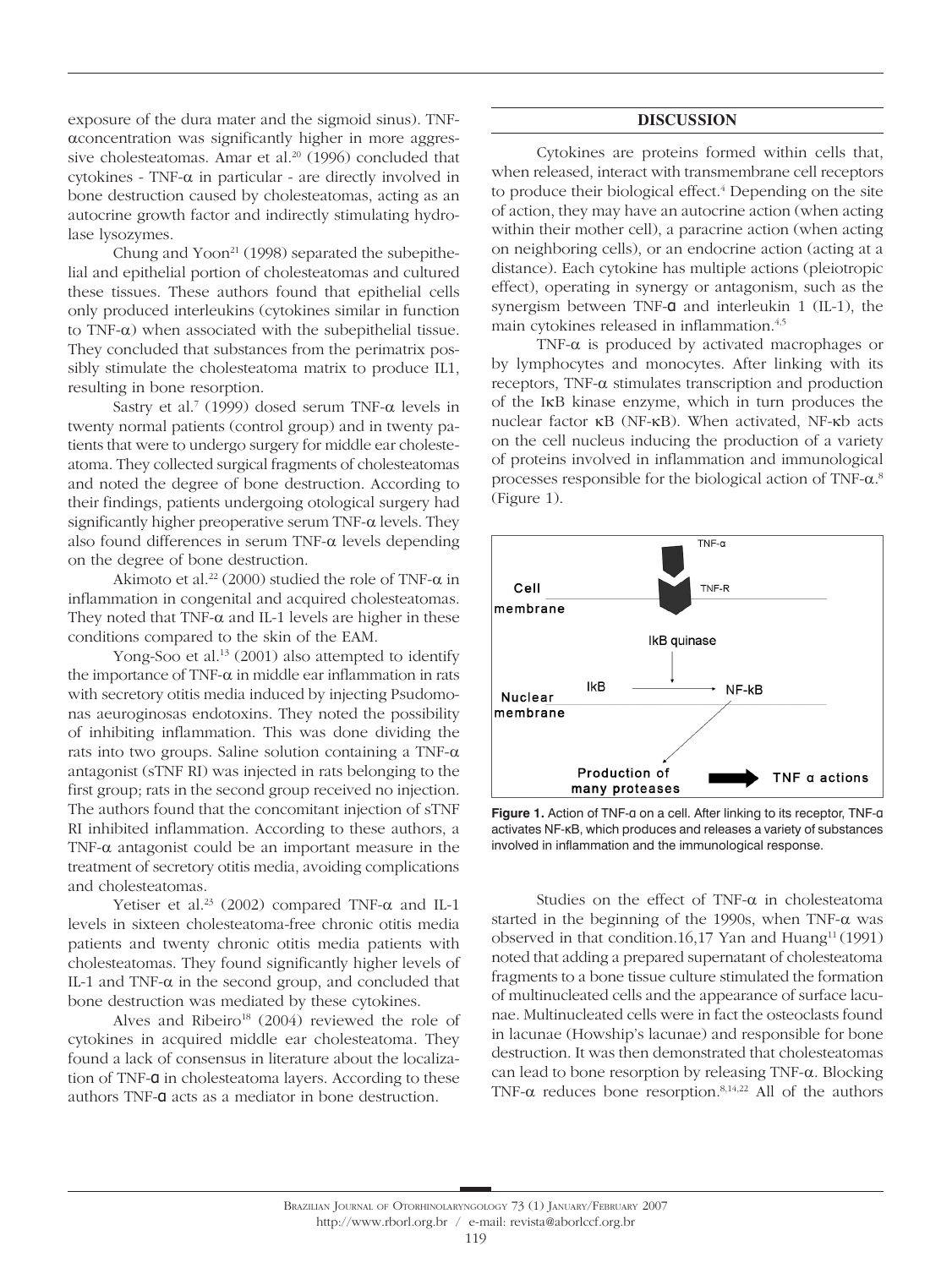exposure of the dura mater and the sigmoid sinus). TNFαconcentration was significantly higher in more aggressive cholesteatomas. Amar et al.<sup>20</sup> (1996) concluded that cytokines - TNF-α in particular - are directly involved in bone destruction caused by cholesteatomas, acting as an autocrine growth factor and indirectly stimulating hydrolase lysozymes.

Chung and  $Y<sub>oon</sub><sup>21</sup>$  (1998) separated the subepithelial and epithelial portion of cholesteatomas and cultured these tissues. These authors found that epithelial cells only produced interleukins (cytokines similar in function to TNF-α) when associated with the subepithelial tissue. They concluded that substances from the perimatrix possibly stimulate the cholesteatoma matrix to produce IL1, resulting in bone resorption.

Sastry et al.<sup>7</sup> (1999) dosed serum TNF- $\alpha$  levels in twenty normal patients (control group) and in twenty patients that were to undergo surgery for middle ear cholesteatoma. They collected surgical fragments of cholesteatomas and noted the degree of bone destruction. According to their findings, patients undergoing otological surgery had significantly higher preoperative serum TNF- $\alpha$  levels. They also found differences in serum TNF- $\alpha$  levels depending on the degree of bone destruction.

Akimoto et al.<sup>22</sup> (2000) studied the role of TNF- $\alpha$  in inflammation in congenital and acquired cholesteatomas. They noted that TNF- $\alpha$  and IL-1 levels are higher in these conditions compared to the skin of the EAM.

Yong-Soo et al.<sup>13</sup> (2001) also attempted to identify the importance of TNF-α in middle ear inflammation in rats with secretory otitis media induced by injecting Psudomonas aeuroginosas endotoxins. They noted the possibility of inhibiting inflammation. This was done dividing the rats into two groups. Saline solution containing a TNF- $\alpha$ antagonist (sTNF RI) was injected in rats belonging to the first group; rats in the second group received no injection. The authors found that the concomitant injection of sTNF RI inhibited inflammation. According to these authors, a TNF- $\alpha$  antagonist could be an important measure in the treatment of secretory otitis media, avoiding complications and cholesteatomas.

Yetiser et al.<sup>23</sup> (2002) compared TNF- $\alpha$  and IL-1 levels in sixteen cholesteatoma-free chronic otitis media patients and twenty chronic otitis media patients with cholesteatomas. They found significantly higher levels of IL-1 and TNF- $\alpha$  in the second group, and concluded that bone destruction was mediated by these cytokines.

Alves and Ribeiro<sup>18</sup> (2004) reviewed the role of cytokines in acquired middle ear cholesteatoma. They found a lack of consensus in literature about the localization of TNF-α in cholesteatoma layers. According to these authors TNF-α acts as a mediator in bone destruction.

## **DISCUSSION**

Cytokines are proteins formed within cells that, when released, interact with transmembrane cell receptors to produce their biological effect.<sup>4</sup> Depending on the site of action, they may have an autocrine action (when acting within their mother cell), a paracrine action (when acting on neighboring cells), or an endocrine action (acting at a distance). Each cytokine has multiple actions (pleiotropic effect), operating in synergy or antagonism, such as the synergism between TNF-α and interleukin 1 (IL-1), the main cytokines released in inflammation.<sup>4,5</sup>

TNF-α is produced by activated macrophages or by lymphocytes and monocytes. After linking with its receptors, TNF-α stimulates transcription and production of the IκB kinase enzyme, which in turn produces the nuclear factor κB (NF-κB). When activated, NF-κb acts on the cell nucleus inducing the production of a variety of proteins involved in inflammation and immunological processes responsible for the biological action of TNF-α. 8 (Figure 1).



**Figure 1.** Action of TNF-α on a cell. After linking to its receptor, TNF-α activates NF-κB, which produces and releases a variety of substances involved in inflammation and the immunological response.

Studies on the effect of TNF-α in cholesteatoma started in the beginning of the 1990s, when TNF- $\alpha$  was observed in that condition.16,17 Yan and Huang<sup>11</sup> (1991) noted that adding a prepared supernatant of cholesteatoma fragments to a bone tissue culture stimulated the formation of multinucleated cells and the appearance of surface lacunae. Multinucleated cells were in fact the osteoclasts found in lacunae (Howship's lacunae) and responsible for bone destruction. It was then demonstrated that cholesteatomas can lead to bone resorption by releasing TNF-α. Blocking TNF- $\alpha$  reduces bone resorption.<sup>8,14,22</sup> All of the authors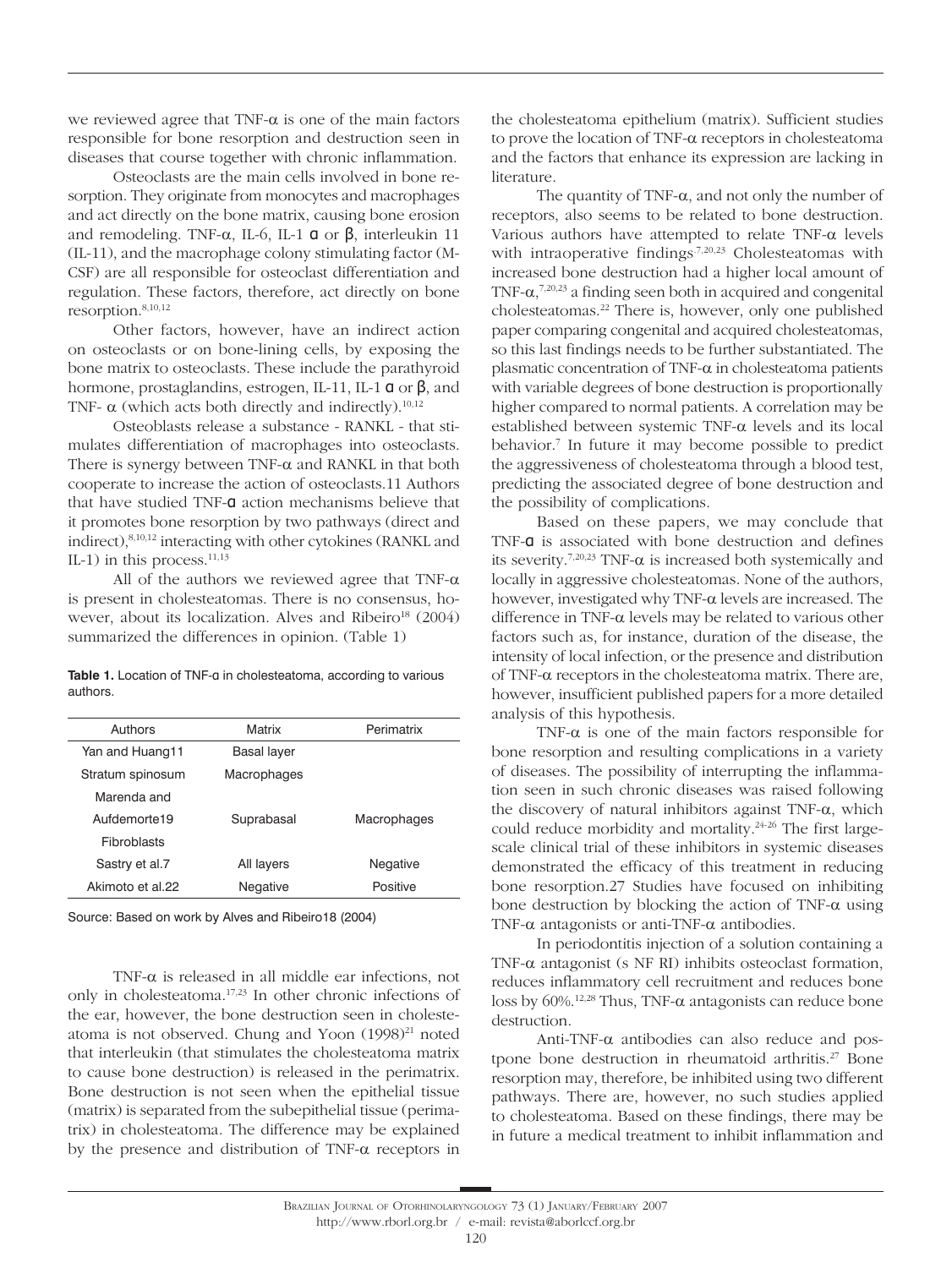we reviewed agree that TNF- $\alpha$  is one of the main factors responsible for bone resorption and destruction seen in diseases that course together with chronic inflammation.

Osteoclasts are the main cells involved in bone resorption. They originate from monocytes and macrophages and act directly on the bone matrix, causing bone erosion and remodeling. TNF- $\alpha$ , IL-6, IL-1 **α** or **β**, interleukin 11 (IL-11), and the macrophage colony stimulating factor (M-CSF) are all responsible for osteoclast differentiation and regulation. These factors, therefore, act directly on bone resorption.8,10,12

Other factors, however, have an indirect action on osteoclasts or on bone-lining cells, by exposing the bone matrix to osteoclasts. These include the parathyroid hormone, prostaglandins, estrogen, IL-11, IL-1 α or β, and TNF-  $\alpha$  (which acts both directly and indirectly).<sup>10,12</sup>

Osteoblasts release a substance - RANKL - that stimulates differentiation of macrophages into osteoclasts. There is synergy between  $TNF-\alpha$  and RANKL in that both cooperate to increase the action of osteoclasts.11 Authors that have studied TNF-α action mechanisms believe that it promotes bone resorption by two pathways (direct and indirect),8,10,12 interacting with other cytokines (RANKL and IL-1) in this process. $11,13$ 

All of the authors we reviewed agree that TNF- $\alpha$ is present in cholesteatomas. There is no consensus, however, about its localization. Alves and Ribeiro<sup>18</sup> (2004) summarized the differences in opinion. (Table 1)

Table 1. Location of TNF-a in cholesteatoma, according to various authors.

| Authors            | Matrix             | Perimatrix  |
|--------------------|--------------------|-------------|
| Yan and Huang11    | <b>Basal layer</b> |             |
| Stratum spinosum   | Macrophages        |             |
| Marenda and        |                    |             |
| Aufdemorte19       | Suprabasal         | Macrophages |
| <b>Fibroblasts</b> |                    |             |
| Sastry et al.7     | All layers         | Negative    |
| Akimoto et al.22   | Negative           | Positive    |
|                    |                    |             |

Source: Based on work by Alves and Ribeiro18 (2004)

TNF-α is released in all middle ear infections, not only in cholesteatoma.17,23 In other chronic infections of the ear, however, the bone destruction seen in cholesteatoma is not observed. Chung and Yoon (1998)<sup>21</sup> noted that interleukin (that stimulates the cholesteatoma matrix to cause bone destruction) is released in the perimatrix. Bone destruction is not seen when the epithelial tissue (matrix) is separated from the subepithelial tissue (perimatrix) in cholesteatoma. The difference may be explained by the presence and distribution of TNF-α receptors in

the cholesteatoma epithelium (matrix). Sufficient studies to prove the location of TNF-α receptors in cholesteatoma and the factors that enhance its expression are lacking in literature.

The quantity of TNF- $\alpha$ , and not only the number of receptors, also seems to be related to bone destruction. Various authors have attempted to relate TNF-α levels with intraoperative findings<sup>7,20,23</sup> Cholesteatomas with increased bone destruction had a higher local amount of TNF- $\alpha$ ,<sup>7,20,23</sup> a finding seen both in acquired and congenital cholesteatomas.22 There is, however, only one published paper comparing congenital and acquired cholesteatomas, so this last findings needs to be further substantiated. The plasmatic concentration of TNF-α in cholesteatoma patients with variable degrees of bone destruction is proportionally higher compared to normal patients. A correlation may be established between systemic TNF-α levels and its local behavior.7 In future it may become possible to predict the aggressiveness of cholesteatoma through a blood test, predicting the associated degree of bone destruction and the possibility of complications.

Based on these papers, we may conclude that TNF-**a** is associated with bone destruction and defines its severity.<sup>7,20,23</sup> TNF- $\alpha$  is increased both systemically and locally in aggressive cholesteatomas. None of the authors, however, investigated why TNF-α levels are increased. The difference in TNF-α levels may be related to various other factors such as, for instance, duration of the disease, the intensity of local infection, or the presence and distribution of TNF-α receptors in the cholesteatoma matrix. There are, however, insufficient published papers for a more detailed analysis of this hypothesis.

TNF- $\alpha$  is one of the main factors responsible for bone resorption and resulting complications in a variety of diseases. The possibility of interrupting the inflammation seen in such chronic diseases was raised following the discovery of natural inhibitors against TNF- $\alpha$ , which could reduce morbidity and mortality.<sup>24-26</sup> The first largescale clinical trial of these inhibitors in systemic diseases demonstrated the efficacy of this treatment in reducing bone resorption.27 Studies have focused on inhibiting bone destruction by blocking the action of TNF- $\alpha$  using TNF- $\alpha$  antagonists or anti-TNF- $\alpha$  antibodies.

In periodontitis injection of a solution containing a TNF- $\alpha$  antagonist (s NF RI) inhibits osteoclast formation, reduces inflammatory cell recruitment and reduces bone loss by 60%.12,28 Thus, TNF-α antagonists can reduce bone destruction.

Anti-TNF-α antibodies can also reduce and postpone bone destruction in rheumatoid arthritis.<sup>27</sup> Bone resorption may, therefore, be inhibited using two different pathways. There are, however, no such studies applied to cholesteatoma. Based on these findings, there may be in future a medical treatment to inhibit inflammation and

http://www.rborl.org.br / e-mail: revista@aborlccf.org.br